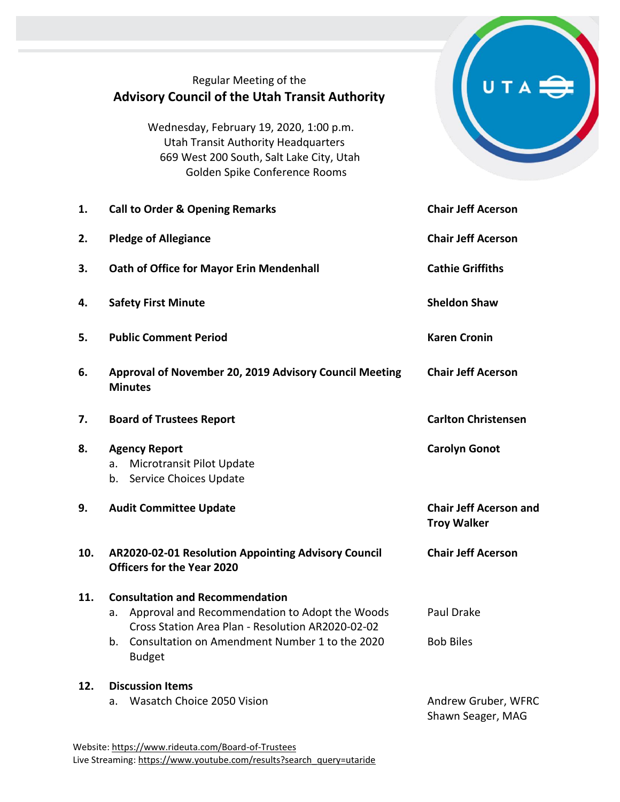|     | Regular Meeting of the<br><b>Advisory Council of the Utah Transit Authority</b><br>Wednesday, February 19, 2020, 1:00 p.m.                          |                                                     |
|-----|-----------------------------------------------------------------------------------------------------------------------------------------------------|-----------------------------------------------------|
|     | <b>Utah Transit Authority Headquarters</b><br>669 West 200 South, Salt Lake City, Utah<br>Golden Spike Conference Rooms                             |                                                     |
| 1.  | <b>Call to Order &amp; Opening Remarks</b>                                                                                                          | <b>Chair Jeff Acerson</b>                           |
| 2.  | <b>Pledge of Allegiance</b>                                                                                                                         | <b>Chair Jeff Acerson</b>                           |
| 3.  | Oath of Office for Mayor Erin Mendenhall                                                                                                            | <b>Cathie Griffiths</b>                             |
| 4.  | <b>Safety First Minute</b>                                                                                                                          | <b>Sheldon Shaw</b>                                 |
| 5.  | <b>Public Comment Period</b>                                                                                                                        | <b>Karen Cronin</b>                                 |
| 6.  | Approval of November 20, 2019 Advisory Council Meeting<br><b>Minutes</b>                                                                            | <b>Chair Jeff Acerson</b>                           |
| 7.  | <b>Board of Trustees Report</b>                                                                                                                     | <b>Carlton Christensen</b>                          |
| 8.  | <b>Agency Report</b><br>Microtransit Pilot Update<br>a.<br>Service Choices Update<br>b.                                                             | <b>Carolyn Gonot</b>                                |
| 9.  | <b>Audit Committee Update</b>                                                                                                                       | <b>Chair Jeff Acerson and</b><br><b>Troy Walker</b> |
| 10. | AR2020-02-01 Resolution Appointing Advisory Council<br><b>Officers for the Year 2020</b>                                                            | <b>Chair Jeff Acerson</b>                           |
| 11. | <b>Consultation and Recommendation</b><br>Approval and Recommendation to Adopt the Woods<br>a.<br>Cross Station Area Plan - Resolution AR2020-02-02 | Paul Drake                                          |
|     | b. Consultation on Amendment Number 1 to the 2020<br><b>Budget</b>                                                                                  | <b>Bob Biles</b>                                    |
| 12. | <b>Discussion Items</b>                                                                                                                             |                                                     |
|     | Wasatch Choice 2050 Vision<br>а.                                                                                                                    | Andrew Gruber, WFRC<br>Shawn Seager, MAG            |